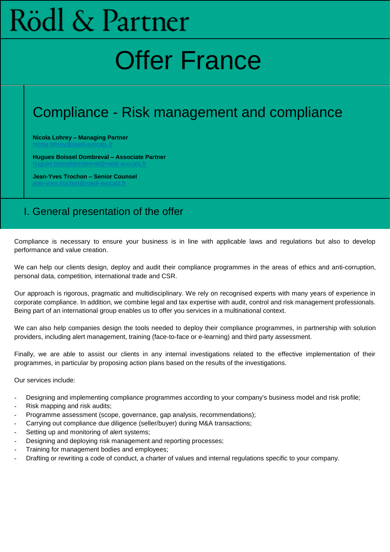# Rödl & Partner

## Offer France

## Compliance - Risk management and compliance

**Nicola Lohrey – Managing Partner**

**Hugues Boissel Dombreval – Associate Partner**

**Jean-Yves Trochon – Senior Counsel** [jean-yves.trochon@roedl-avocats.fr](mailto:jean-yves.trochon@roedl-avocats.fr)

## I. General presentation of the offer

Compliance is necessary to ensure your business is in line with applicable laws and regulations but also to develop performance and value creation.

We can help our clients design, deploy and audit their compliance programmes in the areas of ethics and anti-corruption, personal data, competition, international trade and CSR.

Our approach is rigorous, pragmatic and multidisciplinary. We rely on recognised experts with many years of experience in corporate compliance. In addition, we combine legal and tax expertise with audit, control and risk management professionals. Being part of an international group enables us to offer you services in a multinational context.

We can also help companies design the tools needed to deploy their compliance programmes, in partnership with solution providers, including alert management, training (face-to-face or e-learning) and third party assessment.

Finally, we are able to assist our clients in any internal investigations related to the effective implementation of their programmes, in particular by proposing action plans based on the results of the investigations.

Our services include:

- Designing and implementing compliance programmes according to your company's business model and risk profile;
- Risk mapping and risk audits;
- Programme assessment (scope, governance, gap analysis, recommendations);
- Carrying out compliance due diligence (seller/buyer) during M&A transactions;
- Setting up and monitoring of alert systems;
- Designing and deploying risk management and reporting processes;
- Training for management bodies and employees;
- Drafting or rewriting a code of conduct, a charter of values and internal regulations specific to your company.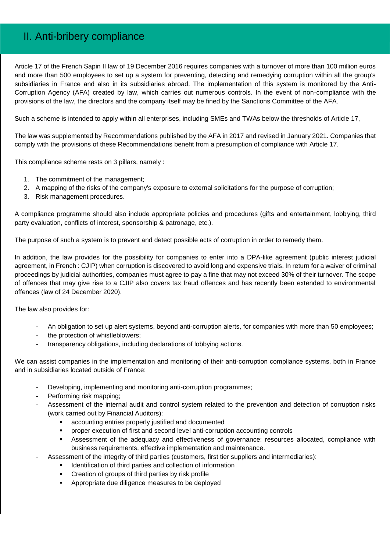#### II. Anti-bribery compliance

Article 17 of the French Sapin II law of 19 December 2016 requires companies with a turnover of more than 100 million euros and more than 500 employees to set up a system for preventing, detecting and remedying corruption within all the group's subsidiaries in France and also in its subsidiaries abroad. The implementation of this system is monitored by the Anti-Corruption Agency (AFA) created by law, which carries out numerous controls. In the event of non-compliance with the provisions of the law, the directors and the company itself may be fined by the Sanctions Committee of the AFA.

Such a scheme is intended to apply within all enterprises, including SMEs and TWAs below the thresholds of Article 17,

The law was supplemented by Recommendations published by the AFA in 2017 and revised in January 2021. Companies that comply with the provisions of these Recommendations benefit from a presumption of compliance with Article 17.

This compliance scheme rests on 3 pillars, namely :

- 1. The commitment of the management;
- 2. A mapping of the risks of the company's exposure to external solicitations for the purpose of corruption;
- 3. Risk management procedures.

A compliance programme should also include appropriate policies and procedures (gifts and entertainment, lobbying, third party evaluation, conflicts of interest, sponsorship & patronage, etc.).

The purpose of such a system is to prevent and detect possible acts of corruption in order to remedy them.

In addition, the law provides for the possibility for companies to enter into a DPA-like agreement (public interest judicial agreement, in French : CJIP) when corruption is discovered to avoid long and expensive trials. In return for a waiver of criminal proceedings by judicial authorities, companies must agree to pay a fine that may not exceed 30% of their turnover. The scope of offences that may give rise to a CJIP also covers tax fraud offences and has recently been extended to environmental offences (law of 24 December 2020).

The law also provides for:

- An obligation to set up alert systems, beyond anti-corruption alerts, for companies with more than 50 employees;
- the protection of whistleblowers;
- transparency obligations, including declarations of lobbying actions.

We can assist companies in the implementation and monitoring of their anti-corruption compliance systems, both in France and in subsidiaries located outside of France:

- Developing, implementing and monitoring anti-corruption programmes;
- Performing risk mapping:
- Assessment of the internal audit and control system related to the prevention and detection of corruption risks (work carried out by Financial Auditors):
	- accounting entries properly justified and documented
	- proper execution of first and second level anti-corruption accounting controls
	- Assessment of the adequacy and effectiveness of governance: resources allocated, compliance with business requirements, effective implementation and maintenance.
	- Assessment of the integrity of third parties (customers, first tier suppliers and intermediaries):
		- Identification of third parties and collection of information
		- Creation of groups of third parties by risk profile
		- **EXEC** Appropriate due diligence measures to be deployed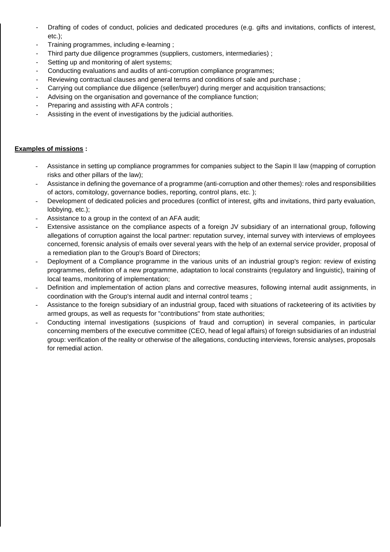- Drafting of codes of conduct, policies and dedicated procedures (e.g. gifts and invitations, conflicts of interest, etc.);
- Training programmes, including e-learning;
- Third party due diligence programmes (suppliers, customers, intermediaries) ;
- Setting up and monitoring of alert systems;
- Conducting evaluations and audits of anti-corruption compliance programmes;
- Reviewing contractual clauses and general terms and conditions of sale and purchase ;
- Carrying out compliance due diligence (seller/buyer) during merger and acquisition transactions;
- Advising on the organisation and governance of the compliance function;
- Preparing and assisting with AFA controls ;
- Assisting in the event of investigations by the judicial authorities.

- Assistance in setting up compliance programmes for companies subject to the Sapin II law (mapping of corruption risks and other pillars of the law);
- Assistance in defining the governance of a programme (anti-corruption and other themes): roles and responsibilities of actors, comitology, governance bodies, reporting, control plans, etc. );
- Development of dedicated policies and procedures (conflict of interest, gifts and invitations, third party evaluation, lobbying, etc.);
- Assistance to a group in the context of an AFA audit;
- Extensive assistance on the compliance aspects of a foreign JV subsidiary of an international group, following allegations of corruption against the local partner: reputation survey, internal survey with interviews of employees concerned, forensic analysis of emails over several years with the help of an external service provider, proposal of a remediation plan to the Group's Board of Directors;
- Deployment of a Compliance programme in the various units of an industrial group's region: review of existing programmes, definition of a new programme, adaptation to local constraints (regulatory and linguistic), training of local teams, monitoring of implementation;
- Definition and implementation of action plans and corrective measures, following internal audit assignments, in coordination with the Group's internal audit and internal control teams ;
- Assistance to the foreign subsidiary of an industrial group, faced with situations of racketeering of its activities by armed groups, as well as requests for "contributions" from state authorities;
- Conducting internal investigations (suspicions of fraud and corruption) in several companies, in particular concerning members of the executive committee (CEO, head of legal affairs) of foreign subsidiaries of an industrial group: verification of the reality or otherwise of the allegations, conducting interviews, forensic analyses, proposals for remedial action.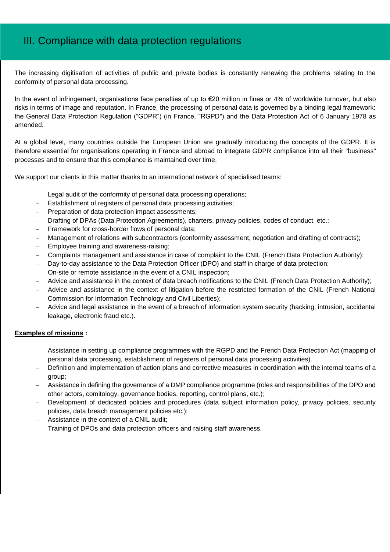## III. Compliance with data protection regulations

The increasing digitisation of activities of public and private bodies is constantly renewing the problems relating to the conformity of personal data processing.

In the event of infringement, organisations face penalties of up to €20 million in fines or 4% of worldwide turnover, but also risks in terms of image and reputation. In France, the processing of personal data is governed by a binding legal framework: the General Data Protection Regulation ("GDPR") (in France, "RGPD") and the Data Protection Act of 6 January 1978 as amended.

At a global level, many countries outside the European Union are gradually introducing the concepts of the GDPR. It is therefore essential for organisations operating in France and abroad to integrate GDPR compliance into all their "business" processes and to ensure that this compliance is maintained over time.

We support our clients in this matter thanks to an international network of specialised teams:

- Legal audit of the conformity of personal data processing operations;
- Establishment of registers of personal data processing activities;
- Preparation of data protection impact assessments;
- Drafting of DPAs (Data Protection Agreements), charters, privacy policies, codes of conduct, etc.;
- Framework for cross-border flows of personal data;
- Management of relations with subcontractors (conformity assessment, negotiation and drafting of contracts);
- Employee training and awareness-raising;
- Complaints management and assistance in case of complaint to the CNIL (French Data Protection Authority);
- Day-to-day assistance to the Data Protection Officer (DPO) and staff in charge of data protection;
- On-site or remote assistance in the event of a CNIL inspection;
- Advice and assistance in the context of data breach notifications to the CNIL (French Data Protection Authority);
- Advice and assistance in the context of litigation before the restricted formation of the CNIL (French National Commission for Information Technology and Civil Liberties);
- Advice and legal assistance in the event of a breach of information system security (hacking, intrusion, accidental leakage, electronic fraud etc.).

- Assistance in setting up compliance programmes with the RGPD and the French Data Protection Act (mapping of personal data processing, establishment of registers of personal data processing activities).
- Definition and implementation of action plans and corrective measures in coordination with the internal teams of a group;
- Assistance in defining the governance of a DMP compliance programme (roles and responsibilities of the DPO and other actors, comitology, governance bodies, reporting, control plans, etc.);
- Development of dedicated policies and procedures (data subject information policy, privacy policies, security policies, data breach management policies etc.);
- Assistance in the context of a CNIL audit;
- Training of DPOs and data protection officers and raising staff awareness.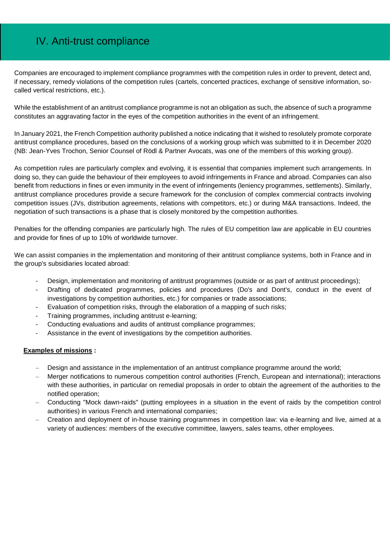## IV. Anti-trust compliance

Companies are encouraged to implement compliance programmes with the competition rules in order to prevent, detect and, if necessary, remedy violations of the competition rules (cartels, concerted practices, exchange of sensitive information, socalled vertical restrictions, etc.).

While the establishment of an antitrust compliance programme is not an obligation as such, the absence of such a programme constitutes an aggravating factor in the eyes of the competition authorities in the event of an infringement.

In January 2021, the French Competition authority published a notice indicating that it wished to resolutely promote corporate antitrust compliance procedures, based on the conclusions of a working group which was submitted to it in December 2020 (NB: Jean-Yves Trochon, Senior Counsel of Rödl & Partner Avocats, was one of the members of this working group).

As competition rules are particularly complex and evolving, it is essential that companies implement such arrangements. In doing so, they can guide the behaviour of their employees to avoid infringements in France and abroad. Companies can also benefit from reductions in fines or even immunity in the event of infringements (leniency programmes, settlements). Similarly, antitrust compliance procedures provide a secure framework for the conclusion of complex commercial contracts involving competition issues (JVs, distribution agreements, relations with competitors, etc.) or during M&A transactions. Indeed, the negotiation of such transactions is a phase that is closely monitored by the competition authorities.

Penalties for the offending companies are particularly high. The rules of EU competition law are applicable in EU countries and provide for fines of up to 10% of worldwide turnover.

We can assist companies in the implementation and monitoring of their antitrust compliance systems, both in France and in the group's subsidiaries located abroad:

- Design, implementation and monitoring of antitrust programmes (outside or as part of antitrust proceedings);
- Drafting of dedicated programmes, policies and procedures (Do's and Dont's, conduct in the event of investigations by competition authorities, etc.) for companies or trade associations;
- Evaluation of competition risks, through the elaboration of a mapping of such risks;
- Training programmes, including antitrust e-learning;
- Conducting evaluations and audits of antitrust compliance programmes;
- Assistance in the event of investigations by the competition authorities.

- Design and assistance in the implementation of an antitrust compliance programme around the world;
- Merger notifications to numerous competition control authorities (French, European and international); interactions with these authorities, in particular on remedial proposals in order to obtain the agreement of the authorities to the notified operation;
- Conducting "Mock dawn-raids" (putting employees in a situation in the event of raids by the competition control authorities) in various French and international companies;
- Creation and deployment of in-house training programmes in competition law: via e-learning and live, aimed at a variety of audiences: members of the executive committee, lawyers, sales teams, other employees.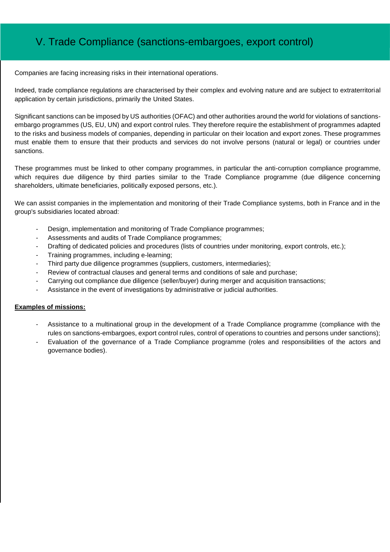## V. Trade Compliance (sanctions-embargoes, export control)

Companies are facing increasing risks in their international operations.

Indeed, trade compliance regulations are characterised by their complex and evolving nature and are subject to extraterritorial application by certain jurisdictions, primarily the United States.

Significant sanctions can be imposed by US authorities (OFAC) and other authorities around the world for violations of sanctionsembargo programmes (US, EU, UN) and export control rules. They therefore require the establishment of programmes adapted to the risks and business models of companies, depending in particular on their location and export zones. These programmes must enable them to ensure that their products and services do not involve persons (natural or legal) or countries under sanctions.

These programmes must be linked to other company programmes, in particular the anti-corruption compliance programme, which requires due diligence by third parties similar to the Trade Compliance programme (due diligence concerning shareholders, ultimate beneficiaries, politically exposed persons, etc.).

We can assist companies in the implementation and monitoring of their Trade Compliance systems, both in France and in the group's subsidiaries located abroad:

- Design, implementation and monitoring of Trade Compliance programmes;
- Assessments and audits of Trade Compliance programmes;
- Drafting of dedicated policies and procedures (lists of countries under monitoring, export controls, etc.);
- Training programmes, including e-learning;
- Third party due diligence programmes (suppliers, customers, intermediaries);
- Review of contractual clauses and general terms and conditions of sale and purchase;
- Carrying out compliance due diligence (seller/buyer) during merger and acquisition transactions;
- Assistance in the event of investigations by administrative or judicial authorities.

- Assistance to a multinational group in the development of a Trade Compliance programme (compliance with the rules on sanctions-embargoes, export control rules, control of operations to countries and persons under sanctions);
- Evaluation of the governance of a Trade Compliance programme (roles and responsibilities of the actors and governance bodies).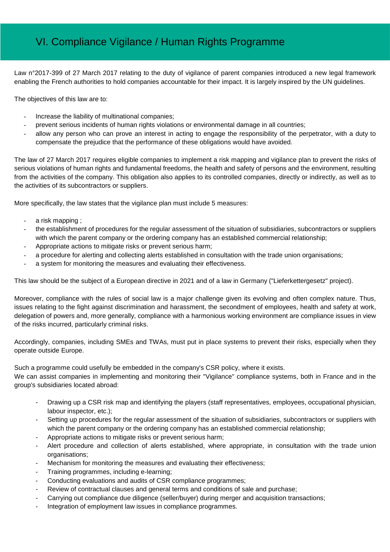## VI. Compliance Vigilance / Human Rights Programme

Law n°2017-399 of 27 March 2017 relating to the duty of vigilance of parent companies introduced a new legal framework enabling the French authorities to hold companies accountable for their impact. It is largely inspired by the UN guidelines.

The objectives of this law are to:

- Increase the liability of multinational companies;
- prevent serious incidents of human rights violations or environmental damage in all countries;
- allow any person who can prove an interest in acting to engage the responsibility of the perpetrator, with a duty to compensate the prejudice that the performance of these obligations would have avoided.

The law of 27 March 2017 requires eligible companies to implement a risk mapping and vigilance plan to prevent the risks of serious violations of human rights and fundamental freedoms, the health and safety of persons and the environment, resulting from the activities of the company. This obligation also applies to its controlled companies, directly or indirectly, as well as to the activities of its subcontractors or suppliers.

More specifically, the law states that the vigilance plan must include 5 measures:

- a risk mapping ;
- the establishment of procedures for the regular assessment of the situation of subsidiaries, subcontractors or suppliers with which the parent company or the ordering company has an established commercial relationship;
- Appropriate actions to mitigate risks or prevent serious harm;
- a procedure for alerting and collecting alerts established in consultation with the trade union organisations;
- a system for monitoring the measures and evaluating their effectiveness.

This law should be the subject of a European directive in 2021 and of a law in Germany ("Lieferkettergesetz" project).

Moreover, compliance with the rules of social law is a major challenge given its evolving and often complex nature. Thus, issues relating to the fight against discrimination and harassment, the secondment of employees, health and safety at work, delegation of powers and, more generally, compliance with a harmonious working environment are compliance issues in view of the risks incurred, particularly criminal risks.

Accordingly, companies, including SMEs and TWAs, must put in place systems to prevent their risks, especially when they operate outside Europe.

Such a programme could usefully be embedded in the company's CSR policy, where it exists. We can assist companies in implementing and monitoring their "Vigilance" compliance systems, both in France and in the group's subsidiaries located abroad:

- Drawing up a CSR risk map and identifying the players (staff representatives, employees, occupational physician, labour inspector, etc.);
- Setting up procedures for the regular assessment of the situation of subsidiaries, subcontractors or suppliers with which the parent company or the ordering company has an established commercial relationship:
- Appropriate actions to mitigate risks or prevent serious harm;
- Alert procedure and collection of alerts established, where appropriate, in consultation with the trade union organisations;
- Mechanism for monitoring the measures and evaluating their effectiveness;
- Training programmes, including e-learning;
- Conducting evaluations and audits of CSR compliance programmes;
- Review of contractual clauses and general terms and conditions of sale and purchase;
- Carrying out compliance due diligence (seller/buyer) during merger and acquisition transactions;
- Integration of employment law issues in compliance programmes.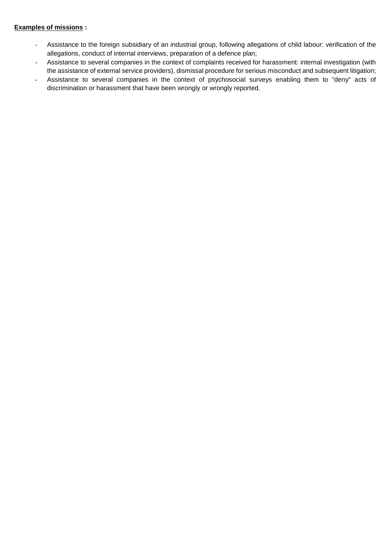- Assistance to the foreign subsidiary of an industrial group, following allegations of child labour: verification of the allegations, conduct of internal interviews, preparation of a defence plan;
- Assistance to several companies in the context of complaints received for harassment: internal investigation (with the assistance of external service providers), dismissal procedure for serious misconduct and subsequent litigation;
- Assistance to several companies in the context of psychosocial surveys enabling them to "deny" acts of discrimination or harassment that have been wrongly or wrongly reported.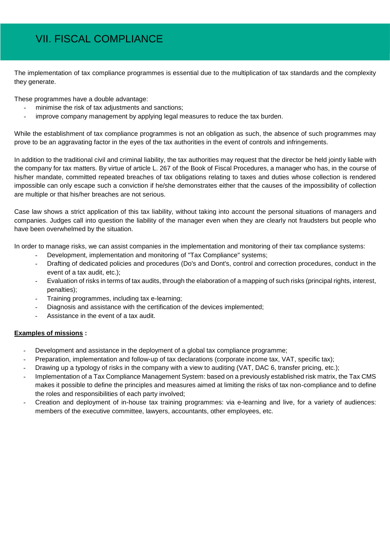## VII. FISCAL COMPLIANCE

The implementation of tax compliance programmes is essential due to the multiplication of tax standards and the complexity they generate.

These programmes have a double advantage:

- minimise the risk of tax adjustments and sanctions;
- improve company management by applying legal measures to reduce the tax burden.

While the establishment of tax compliance programmes is not an obligation as such, the absence of such programmes may prove to be an aggravating factor in the eyes of the tax authorities in the event of controls and infringements.

In addition to the traditional civil and criminal liability, the tax authorities may request that the director be held jointly liable with the company for tax matters. By virtue of article L. 267 of the Book of Fiscal Procedures, a manager who has, in the course of his/her mandate, committed repeated breaches of tax obligations relating to taxes and duties whose collection is rendered impossible can only escape such a conviction if he/she demonstrates either that the causes of the impossibility of collection are multiple or that his/her breaches are not serious.

Case law shows a strict application of this tax liability, without taking into account the personal situations of managers and companies. Judges call into question the liability of the manager even when they are clearly not fraudsters but people who have been overwhelmed by the situation.

In order to manage risks, we can assist companies in the implementation and monitoring of their tax compliance systems:

- Development, implementation and monitoring of "Tax Compliance" systems;
- Drafting of dedicated policies and procedures (Do's and Dont's, control and correction procedures, conduct in the event of a tax audit, etc.);
- Evaluation of risks in terms of tax audits, through the elaboration of a mapping of such risks (principal rights, interest, penalties);
- Training programmes, including tax e-learning;
- Diagnosis and assistance with the certification of the devices implemented:
- Assistance in the event of a tax audit.

- Development and assistance in the deployment of a global tax compliance programme;
- Preparation, implementation and follow-up of tax declarations (corporate income tax, VAT, specific tax);
- Drawing up a typology of risks in the company with a view to auditing (VAT, DAC 6, transfer pricing, etc.);
- Implementation of a Tax Compliance Management System: based on a previously established risk matrix, the Tax CMS makes it possible to define the principles and measures aimed at limiting the risks of tax non-compliance and to define the roles and responsibilities of each party involved;
- Creation and deployment of in-house tax training programmes: via e-learning and live, for a variety of audiences: members of the executive committee, lawyers, accountants, other employees, etc.